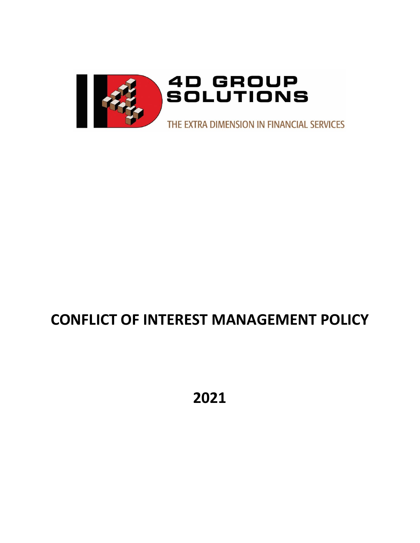

# **CONFLICT OF INTEREST MANAGEMENT POLICY**

**2021**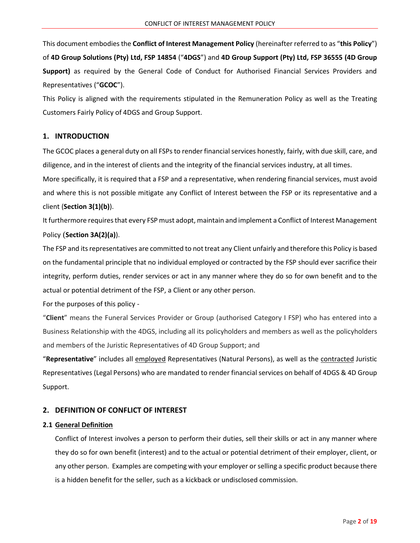This document embodies the **Conflict of Interest Management Policy** (hereinafter referred to as "**this Policy**") of **4D Group Solutions (Pty) Ltd, FSP 14854** ("**4DGS**") and **4D Group Support (Pty) Ltd, FSP 36555 (4D Group Support)** as required by the General Code of Conduct for Authorised Financial Services Providers and Representatives ("**GCOC**").

This Policy is aligned with the requirements stipulated in the Remuneration Policy as well as the Treating Customers Fairly Policy of 4DGS and Group Support.

## **1. INTRODUCTION**

The GCOC places a general duty on all FSPs to render financial services honestly, fairly, with due skill, care, and diligence, and in the interest of clients and the integrity of the financial services industry, at all times.

More specifically, it is required that a FSP and a representative, when rendering financial services, must avoid and where this is not possible mitigate any Conflict of Interest between the FSP or its representative and a client (**Section 3(1)(b)**).

It furthermore requiresthat every FSP must adopt, maintain and implement a Conflict of Interest Management Policy (**Section 3A(2)(a)**).

The FSP and its representatives are committed to not treat any Client unfairly and therefore this Policy is based on the fundamental principle that no individual employed or contracted by the FSP should ever sacrifice their integrity, perform duties, render services or act in any manner where they do so for own benefit and to the actual or potential detriment of the FSP, a Client or any other person.

For the purposes of this policy -

"**Client**" means the Funeral Services Provider or Group (authorised Category I FSP) who has entered into a Business Relationship with the 4DGS, including all its policyholders and members as well as the policyholders and members of the Juristic Representatives of 4D Group Support; and

"**Representative**" includes all employed Representatives (Natural Persons), as well as the contracted Juristic Representatives (Legal Persons) who are mandated to render financial services on behalf of 4DGS & 4D Group Support.

## **2. DEFINITION OF CONFLICT OF INTEREST**

## **2.1 General Definition**

Conflict of Interest involves a person to perform their duties, sell their skills or act in any manner where they do so for own benefit (interest) and to the actual or potential detriment of their employer, client, or any other person. Examples are competing with your employer or selling a specific product because there is a hidden benefit for the seller, such as a kickback or undisclosed commission.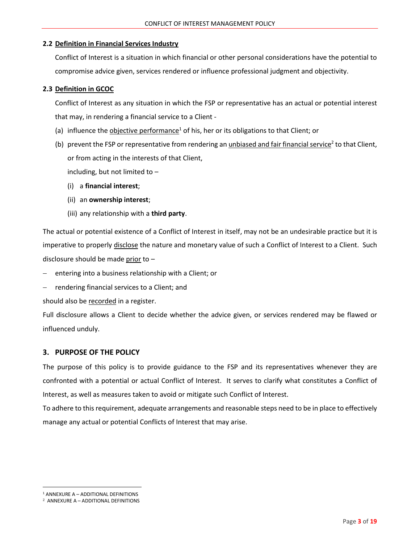## **2.2 Definition in Financial Services Industry**

Conflict of Interest is a situation in which financial or other personal considerations have the potential to compromise advice given, services rendered or influence professional judgment and objectivity.

## **2.3 Definition in GCOC**

Conflict of Interest as any situation in which the FSP or representative has an actual or potential interest that may, in rendering a financial service to a Client -

- (a) influence the objective performance<sup>1</sup> of his, her or its obligations to that Client; or
- (b) prevent the FSP or representative from rendering an unbiased and fair financial service<sup>2</sup> to that Client, or from acting in the interests of that Client,

including, but not limited to –

- (i) a **financial interest**;
- (ii) an **ownership interest**;
- (iii) any relationship with a **third party**.

The actual or potential existence of a Conflict of Interest in itself, may not be an undesirable practice but it is imperative to properly disclose the nature and monetary value of such a Conflict of Interest to a Client. Such disclosure should be made prior to –

- entering into a business relationship with a Client; or
- − rendering financial services to a Client; and

should also be recorded in a register.

Full disclosure allows a Client to decide whether the advice given, or services rendered may be flawed or influenced unduly.

## **3. PURPOSE OF THE POLICY**

The purpose of this policy is to provide guidance to the FSP and its representatives whenever they are confronted with a potential or actual Conflict of Interest. It serves to clarify what constitutes a Conflict of Interest, as well as measures taken to avoid or mitigate such Conflict of Interest.

To adhere to this requirement, adequate arrangements and reasonable steps need to be in place to effectively manage any actual or potential Conflicts of Interest that may arise.

<sup>1</sup> ANNEXURE A – ADDITIONAL DEFINITIONS

<sup>2</sup> ANNEXURE A – ADDITIONAL DEFINITIONS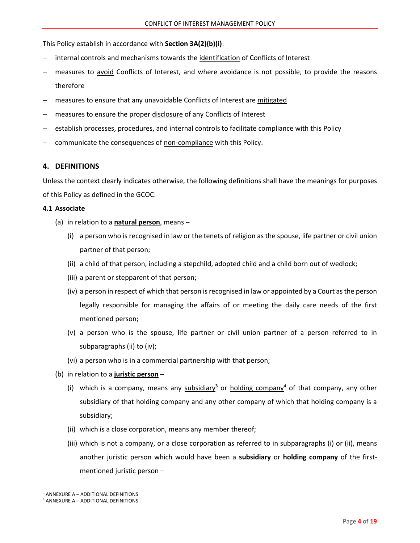This Policy establish in accordance with **Section 3A(2)(b)(i)**:

- − internal controls and mechanisms towards the identification of Conflicts of Interest
- − measures to avoid Conflicts of Interest, and where avoidance is not possible, to provide the reasons therefore
- measures to ensure that any unavoidable Conflicts of Interest are mitigated
- measures to ensure the proper disclosure of any Conflicts of Interest
- establish processes, procedures, and internal controls to facilitate compliance with this Policy
- communicate the consequences of non-compliance with this Policy.

#### **4. DEFINITIONS**

Unless the context clearly indicates otherwise, the following definitions shall have the meanings for purposes of this Policy as defined in the GCOC:

#### **4.1 Associate**

- (a) in relation to a **natural person**, means
	- (i) a person who is recognised in law or the tenets of religion as the spouse, life partner or civil union partner of that person;
	- (ii) a child of that person, including a stepchild, adopted child and a child born out of wedlock;
	- (iii) a parent or stepparent of that person;
	- (iv) a person in respect of which that person is recognised in law or appointed by a Court as the person legally responsible for managing the affairs of or meeting the daily care needs of the first mentioned person;
	- (v) a person who is the spouse, life partner or civil union partner of a person referred to in subparagraphs (ii) to (iv);
	- (vi) a person who is in a commercial partnership with that person;
- (b) in relation to a **juristic person**
	- (i) which is a company, means any subsidiary**<sup>3</sup>** or holding company<sup>4</sup> of that company, any other subsidiary of that holding company and any other company of which that holding company is a subsidiary;
	- (ii) which is a close corporation, means any member thereof;
	- (iii) which is not a company, or a close corporation as referred to in subparagraphs (i) or (ii), means another juristic person which would have been a **subsidiary** or **holding company** of the firstmentioned juristic person –

<sup>3</sup> ANNEXURE A – ADDITIONAL DEFINITIONS

<sup>4</sup> ANNEXURE A – ADDITIONAL DEFINITIONS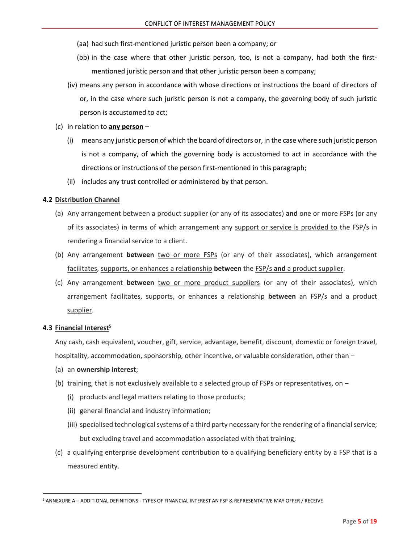(aa) had such first-mentioned juristic person been a company; or

- (bb) in the case where that other juristic person, too, is not a company, had both the firstmentioned juristic person and that other juristic person been a company;
- (iv) means any person in accordance with whose directions or instructions the board of directors of or, in the case where such juristic person is not a company, the governing body of such juristic person is accustomed to act;
- (c) in relation to **any person**
	- (i) means any juristic person of which the board of directors or, in the case where such juristic person is not a company, of which the governing body is accustomed to act in accordance with the directions or instructions of the person first-mentioned in this paragraph;
	- (ii) includes any trust controlled or administered by that person.

#### **4.2 Distribution Channel**

- (a) Any arrangement between a product supplier (or any of its associates) **and** one or more FSPs (or any of its associates) in terms of which arrangement any support or service is provided to the FSP/s in rendering a financial service to a client.
- (b) Any arrangement **between** two or more FSPs (or any of their associates), which arrangement facilitates, supports, or enhances a relationship **between** the FSP/s **and** a product supplier.
- (c) Any arrangement **between** two or more product suppliers (or any of their associates), which arrangement facilitates, supports, or enhances a relationship **between** an FSP/s and a product supplier.

#### **4.3 Financial Interest<sup>5</sup>**

Any cash, cash equivalent, voucher, gift, service, advantage, benefit, discount, domestic or foreign travel, hospitality, accommodation, sponsorship, other incentive, or valuable consideration, other than –

- (a) an **ownership interest**;
- (b) training, that is not exclusively available to a selected group of FSPs or representatives, on
	- (i) products and legal matters relating to those products;
	- (ii) general financial and industry information;
	- (iii) specialised technological systems of a third party necessary for the rendering of a financial service; but excluding travel and accommodation associated with that training;
- (c) a qualifying enterprise development contribution to a qualifying beneficiary entity by a FSP that is a measured entity.

<sup>5</sup> ANNEXURE A – ADDITIONAL DEFINITIONS - TYPES OF FINANCIAL INTEREST AN FSP & REPRESENTATIVE MAY OFFER / RECEIVE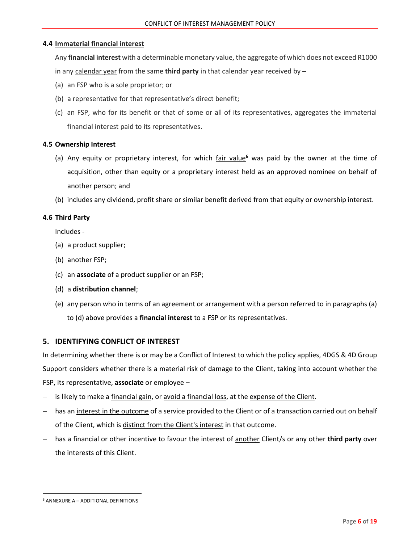## **4.4 Immaterial financial interest**

Any **financial interest** with a determinable monetary value, the aggregate of which does not exceed R1000 in any calendar year from the same **third party** in that calendar year received by –

- (a) an FSP who is a sole proprietor; or
- (b) a representative for that representative's direct benefit;
- (c) an FSP, who for its benefit or that of some or all of its representatives, aggregates the immaterial financial interest paid to its representatives.

## **4.5 Ownership Interest**

- (a) Any equity or proprietary interest, for which fair value**<sup>6</sup>** was paid by the owner at the time of acquisition, other than equity or a proprietary interest held as an approved nominee on behalf of another person; and
- (b) includes any dividend, profit share or similar benefit derived from that equity or ownership interest.

## **4.6 Third Party**

Includes -

- (a) a product supplier;
- (b) another FSP;
- (c) an **associate** of a product supplier or an FSP;
- (d) a **distribution channel**;
- (e) any person who in terms of an agreement or arrangement with a person referred to in paragraphs (a) to (d) above provides a **financial interest** to a FSP or its representatives.

## **5. IDENTIFYING CONFLICT OF INTEREST**

In determining whether there is or may be a Conflict of Interest to which the policy applies, 4DGS & 4D Group Support considers whether there is a material risk of damage to the Client, taking into account whether the FSP, its representative, **associate** or employee –

- is likely to make a financial gain, or avoid a financial loss, at the expense of the Client.
- has an interest in the outcome of a service provided to the Client or of a transaction carried out on behalf of the Client, which is distinct from the Client's interest in that outcome.
- − has a financial or other incentive to favour the interest of another Client/s or any other **third party** over the interests of this Client.

<sup>6</sup> ANNEXURE A – ADDITIONAL DEFINITIONS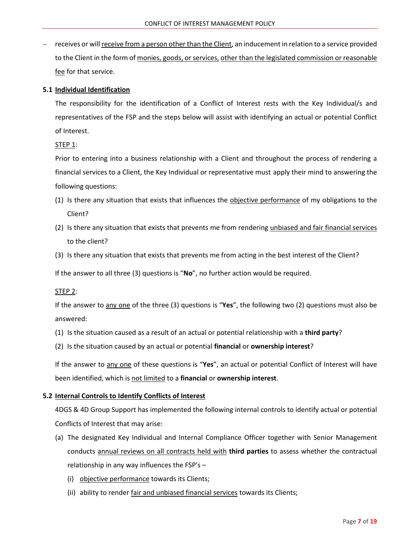− receives or will receive from a person other than the Client, an inducement in relation to a service provided to the Client in the form of monies, goods, or services, other than the legislated commission or reasonable fee for that service.

#### **5.1 Individual Identification**

The responsibility for the identification of a Conflict of Interest rests with the Key Individual/s and representatives of the FSP and the steps below will assist with identifying an actual or potential Conflict of Interest.

STEP 1:

Prior to entering into a business relationship with a Client and throughout the process of rendering a financial services to a Client, the Key Individual or representative must apply their mind to answering the following questions:

- (1) Is there any situation that exists that influences the objective performance of my obligations to the Client?
- (2) Is there any situation that exists that prevents me from rendering unbiased and fair financial services to the client?
- (3) Is there any situation that exists that prevents me from acting in the best interest of the Client?

If the answer to all three (3) questions is "**No**", no further action would be required.

#### STEP 2:

If the answer to any one of the three (3) questions is "**Yes**", the following two (2) questions must also be answered:

- (1) Is the situation caused as a result of an actual or potential relationship with a **third party**?
- (2) Is the situation caused by an actual or potential **financial** or **ownership interest**?

If the answer to any one of these questions is "**Yes**", an actual or potential Conflict of Interest will have been identified, which is not limited to a **financial** or **ownership interest**.

#### **5.2 Internal Controls to Identify Conflicts of Interest**

4DGS & 4D Group Support has implemented the following internal controls to identify actual or potential Conflicts of Interest that may arise:

- (a) The designated Key Individual and Internal Compliance Officer together with Senior Management conducts annual reviews on all contracts held with **third parties** to assess whether the contractual relationship in any way influences the FSP's –
	- (i) objective performance towards its Clients;
	- (ii) ability to render fair and unbiased financial services towards its Clients;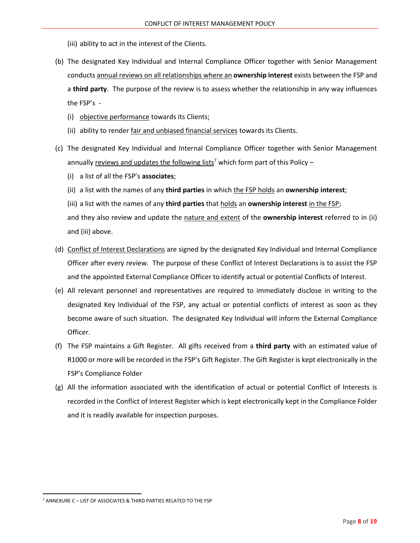- (iii) ability to act in the interest of the Clients.
- (b) The designated Key Individual and Internal Compliance Officer together with Senior Management conducts annual reviews on all relationships where an **ownership interest** exists between the FSP and a **third party**. The purpose of the review is to assess whether the relationship in any way influences the FSP's -
	- (i) objective performance towards its Clients;
	- (ii) ability to render fair and unbiased financial services towards its Clients.
- (c) The designated Key Individual and Internal Compliance Officer together with Senior Management annually reviews and updates the following lists<sup>7</sup> which form part of this Policy –
	- (i) a list of all the FSP's **associates**;
	- (ii) a list with the names of any **third parties** in which the FSP holds an **ownership interest**;
	- (iii) a list with the names of any **third parties** that holds an **ownership interest** in the FSP;

and they also review and update the nature and extent of the **ownership interest** referred to in (ii) and (iii) above.

- (d) Conflict of Interest Declarations are signed by the designated Key Individual and Internal Compliance Officer after every review. The purpose of these Conflict of Interest Declarations is to assist the FSP and the appointed External Compliance Officer to identify actual or potential Conflicts of Interest.
- (e) All relevant personnel and representatives are required to immediately disclose in writing to the designated Key Individual of the FSP, any actual or potential conflicts of interest as soon as they become aware of such situation. The designated Key Individual will inform the External Compliance Officer.
- (f) The FSP maintains a Gift Register. All gifts received from a **third party** with an estimated value of R1000 or more will be recorded in the FSP's Gift Register. The Gift Register is kept electronically in the FSP's Compliance Folder
- (g) All the information associated with the identification of actual or potential Conflict of Interests is recorded in the Conflict of Interest Register which is kept electronically kept in the Compliance Folder and it is readily available for inspection purposes.

<sup>7</sup> ANNEXURE C – LIST OF ASSOCIATES & THIRD PARTIES RELATED TO THE FSP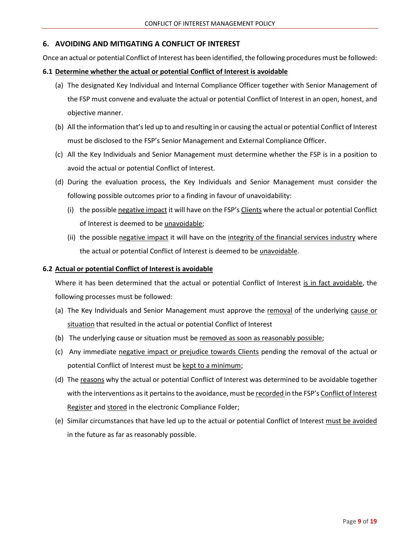### **6. AVOIDING AND MITIGATING A CONFLICT OF INTEREST**

Once an actual or potential Conflict of Interest has been identified, the following procedures must be followed:

#### **6.1 Determine whether the actual or potential Conflict of Interest is avoidable**

- (a) The designated Key Individual and Internal Compliance Officer together with Senior Management of the FSP must convene and evaluate the actual or potential Conflict of Interest in an open, honest, and objective manner.
- (b) All the information that's led up to and resulting in or causing the actual or potential Conflict of Interest must be disclosed to the FSP's Senior Management and External Compliance Officer.
- (c) All the Key Individuals and Senior Management must determine whether the FSP is in a position to avoid the actual or potential Conflict of Interest.
- (d) During the evaluation process, the Key Individuals and Senior Management must consider the following possible outcomes prior to a finding in favour of unavoidability:
	- (i) the possible negative impact it will have on the FSP's Clients where the actual or potential Conflict of Interest is deemed to be unavoidable;
	- (ii) the possible negative impact it will have on the integrity of the financial services industry where the actual or potential Conflict of Interest is deemed to be unavoidable.

#### **6.2 Actual or potential Conflict of Interest is avoidable**

Where it has been determined that the actual or potential Conflict of Interest is in fact avoidable, the following processes must be followed:

- (a) The Key Individuals and Senior Management must approve the removal of the underlying cause or situation that resulted in the actual or potential Conflict of Interest
- (b) The underlying cause or situation must be removed as soon as reasonably possible;
- (c) Any immediate negative impact or prejudice towards Clients pending the removal of the actual or potential Conflict of Interest must be kept to a minimum;
- (d) The reasons why the actual or potential Conflict of Interest was determined to be avoidable together with the interventions as it pertains to the avoidance, must be recorded in the FSP's Conflict of Interest Register and stored in the electronic Compliance Folder;
- (e) Similar circumstances that have led up to the actual or potential Conflict of Interest must be avoided in the future as far as reasonably possible.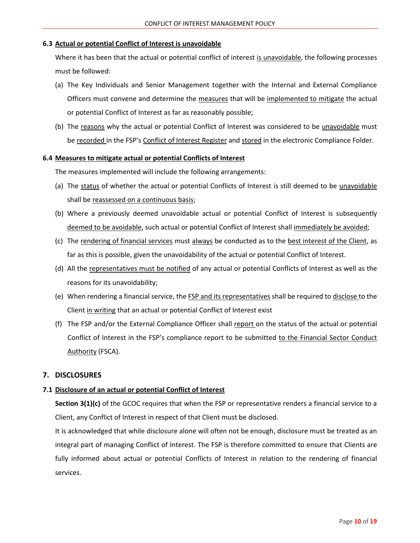#### **6.3 Actual or potential Conflict of Interest is unavoidable**

Where it has been that the actual or potential conflict of interest is unavoidable, the following processes must be followed:

- (a) The Key Individuals and Senior Management together with the Internal and External Compliance Officers must convene and determine the measures that will be implemented to mitigate the actual or potential Conflict of Interest as far as reasonably possible;
- (b) The reasons why the actual or potential Conflict of Interest was considered to be unavoidable must be recorded in the FSP's Conflict of Interest Register and stored in the electronic Compliance Folder.

#### **6.4 Measures to mitigate actual or potential Conflicts of Interest**

The measures implemented will include the following arrangements:

- (a) The status of whether the actual or potential Conflicts of Interest is still deemed to be unavoidable shall be reassessed on a continuous basis;
- (b) Where a previously deemed unavoidable actual or potential Conflict of Interest is subsequently deemed to be avoidable, such actual or potential Conflict of Interest shall immediately be avoided;
- (c) The rendering of financial services must always be conducted as to the best interest of the Client, as far as this is possible, given the unavoidability of the actual or potential Conflict of Interest.
- (d) All the representatives must be notified of any actual or potential Conflicts of Interest as well as the reasons for its unavoidability;
- (e) When rendering a financial service, the **FSP** and its representatives shall be required to disclose to the Client in writing that an actual or potential Conflict of Interest exist
- (f) The FSP and/or the External Compliance Officer shall report on the status of the actual or potential Conflict of Interest in the FSP's compliance report to be submitted to the Financial Sector Conduct Authority (FSCA).

## **7. DISCLOSURES**

## **7.1 Disclosure of an actual or potential Conflict of Interest**

**Section 3(1)(c)** of the GCOC requires that when the FSP or representative renders a financial service to a Client, any Conflict of Interest in respect of that Client must be disclosed.

It is acknowledged that while disclosure alone will often not be enough, disclosure must be treated as an integral part of managing Conflict of Interest. The FSP is therefore committed to ensure that Clients are fully informed about actual or potential Conflicts of Interest in relation to the rendering of financial services.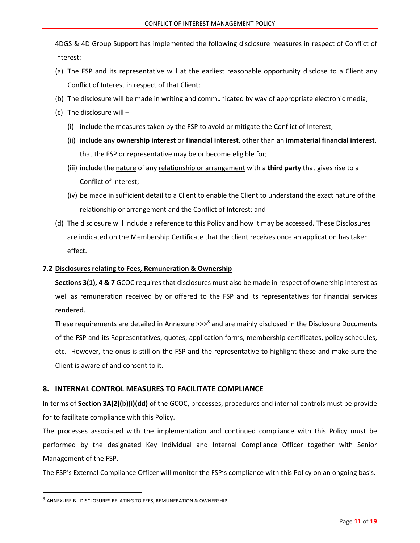4DGS & 4D Group Support has implemented the following disclosure measures in respect of Conflict of Interest:

- (a) The FSP and its representative will at the earliest reasonable opportunity disclose to a Client any Conflict of Interest in respect of that Client;
- (b) The disclosure will be made in writing and communicated by way of appropriate electronic media;
- (c) The disclosure will
	- (i) include the measures taken by the FSP to avoid or mitigate the Conflict of Interest;
	- (ii) include any **ownership interest** or **financial interest**, other than an **immaterial financial interest**, that the FSP or representative may be or become eligible for;
	- (iii) include the nature of any relationship or arrangement with a **third party** that gives rise to a Conflict of Interest;
	- (iv) be made in sufficient detail to a Client to enable the Client to understand the exact nature of the relationship or arrangement and the Conflict of Interest; and
- (d) The disclosure will include a reference to this Policy and how it may be accessed. These Disclosures are indicated on the Membership Certificate that the client receives once an application has taken effect.

#### **7.2 Disclosures relating to Fees, Remuneration & Ownership**

**Sections 3(1), 4 & 7** GCOC requires that disclosures must also be made in respect of ownership interest as well as remuneration received by or offered to the FSP and its representatives for financial services rendered.

These requirements are detailed in Annexure >>>8 and are mainly disclosed in the Disclosure Documents of the FSP and its Representatives, quotes, application forms, membership certificates, policy schedules, etc. However, the onus is still on the FSP and the representative to highlight these and make sure the Client is aware of and consent to it.

## **8. INTERNAL CONTROL MEASURES TO FACILITATE COMPLIANCE**

In terms of **Section 3A(2)(b)(i)(dd)** of the GCOC, processes, procedures and internal controls must be provide for to facilitate compliance with this Policy.

The processes associated with the implementation and continued compliance with this Policy must be performed by the designated Key Individual and Internal Compliance Officer together with Senior Management of the FSP.

The FSP's External Compliance Officer will monitor the FSP's compliance with this Policy on an ongoing basis.

<sup>8</sup> ANNEXURE B - DISCLOSURES RELATING TO FEES, REMUNERATION & OWNERSHIP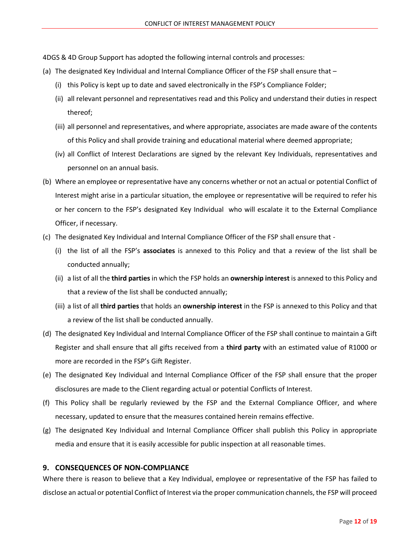4DGS & 4D Group Support has adopted the following internal controls and processes:

- (a) The designated Key Individual and Internal Compliance Officer of the FSP shall ensure that
	- (i) this Policy is kept up to date and saved electronically in the FSP's Compliance Folder;
	- (ii) all relevant personnel and representatives read and this Policy and understand their duties in respect thereof;
	- (iii) all personnel and representatives, and where appropriate, associates are made aware of the contents of this Policy and shall provide training and educational material where deemed appropriate;
	- (iv) all Conflict of Interest Declarations are signed by the relevant Key Individuals, representatives and personnel on an annual basis.
- (b) Where an employee or representative have any concerns whether or not an actual or potential Conflict of Interest might arise in a particular situation, the employee or representative will be required to refer his or her concern to the FSP's designated Key Individual who will escalate it to the External Compliance Officer, if necessary.
- (c) The designated Key Individual and Internal Compliance Officer of the FSP shall ensure that
	- (i) the list of all the FSP's **associates** is annexed to this Policy and that a review of the list shall be conducted annually;
	- (ii) a list of all the **third parties** in which the FSP holds an **ownership interest** is annexed to this Policy and that a review of the list shall be conducted annually;
	- (iii) a list of all **third parties** that holds an **ownership interest** in the FSP is annexed to this Policy and that a review of the list shall be conducted annually.
- (d) The designated Key Individual and Internal Compliance Officer of the FSP shall continue to maintain a Gift Register and shall ensure that all gifts received from a **third party** with an estimated value of R1000 or more are recorded in the FSP's Gift Register.
- (e) The designated Key Individual and Internal Compliance Officer of the FSP shall ensure that the proper disclosures are made to the Client regarding actual or potential Conflicts of Interest.
- (f) This Policy shall be regularly reviewed by the FSP and the External Compliance Officer, and where necessary, updated to ensure that the measures contained herein remains effective.
- (g) The designated Key Individual and Internal Compliance Officer shall publish this Policy in appropriate media and ensure that it is easily accessible for public inspection at all reasonable times.

## **9. CONSEQUENCES OF NON-COMPLIANCE**

Where there is reason to believe that a Key Individual, employee or representative of the FSP has failed to disclose an actual or potential Conflict of Interest via the proper communication channels, the FSP will proceed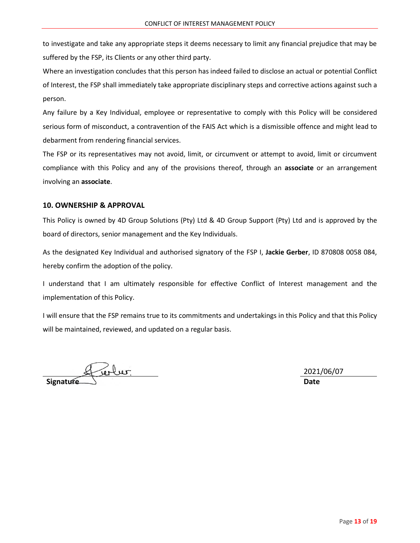to investigate and take any appropriate steps it deems necessary to limit any financial prejudice that may be suffered by the FSP, its Clients or any other third party.

Where an investigation concludes that this person has indeed failed to disclose an actual or potential Conflict of Interest, the FSP shall immediately take appropriate disciplinary steps and corrective actions against such a person.

Any failure by a Key Individual, employee or representative to comply with this Policy will be considered serious form of misconduct, a contravention of the FAIS Act which is a dismissible offence and might lead to debarment from rendering financial services.

The FSP or its representatives may not avoid, limit, or circumvent or attempt to avoid, limit or circumvent compliance with this Policy and any of the provisions thereof, through an **associate** or an arrangement involving an **associate**.

#### **10. OWNERSHIP & APPROVAL**

This Policy is owned by 4D Group Solutions (Pty) Ltd & 4D Group Support (Pty) Ltd and is approved by the board of directors, senior management and the Key Individuals.

As the designated Key Individual and authorised signatory of the FSP I, **Jackie Gerber**, ID 870808 0058 084, hereby confirm the adoption of the policy.

I understand that I am ultimately responsible for effective Conflict of Interest management and the implementation of this Policy.

I will ensure that the FSP remains true to its commitments and undertakings in this Policy and that this Policy will be maintained, reviewed, and updated on a regular basis.

Signature de la de la main de la maison de la maison de la maison de la maison de la maison de la maison de la<br>Date

2021/06/07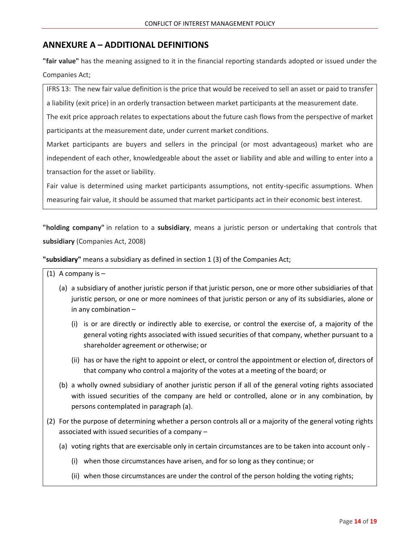# **ANNEXURE A – ADDITIONAL DEFINITIONS**

**"fair value"** has the meaning assigned to it in the financial reporting standards adopted or issued under the Companies Act;

IFRS 13: The new fair value definition is the price that would be received to sell an asset or paid to transfer a liability (exit price) in an orderly transaction between market participants at the measurement date.

The exit price approach relates to expectations about the future cash flows from the perspective of market participants at the measurement date, under current market conditions.

Market participants are buyers and sellers in the principal (or most advantageous) market who are independent of each other, knowledgeable about the asset or liability and able and willing to enter into a transaction for the asset or liability.

Fair value is determined using market participants assumptions, not entity-specific assumptions. When measuring fair value, it should be assumed that market participants act in their economic best interest.

**"holding company"** in relation to a **subsidiary**, means a juristic person or undertaking that controls that **subsidiary** (Companies Act, 2008)

**"subsidiary"** means a subsidiary as defined in section 1 (3) of the Companies Act;

 $(1)$  A company is  $-$ 

- (a) a subsidiary of another juristic person if that juristic person, one or more other subsidiaries of that juristic person, or one or more nominees of that juristic person or any of its subsidiaries, alone or in any combination –
	- (i) is or are directly or indirectly able to exercise, or control the exercise of, a majority of the general voting rights associated with issued securities of that company, whether pursuant to a shareholder agreement or otherwise; or
	- (ii) has or have the right to appoint or elect, or control the appointment or election of, directors of that company who control a majority of the votes at a meeting of the board; or
- (b) a wholly owned subsidiary of another juristic person if all of the general voting rights associated with issued securities of the company are held or controlled, alone or in any combination, by persons contemplated in paragraph (a).
- (2) For the purpose of determining whether a person controls all or a majority of the general voting rights associated with issued securities of a company –
	- (a) voting rights that are exercisable only in certain circumstances are to be taken into account only
		- (i) when those circumstances have arisen, and for so long as they continue; or
		- (ii) when those circumstances are under the control of the person holding the voting rights;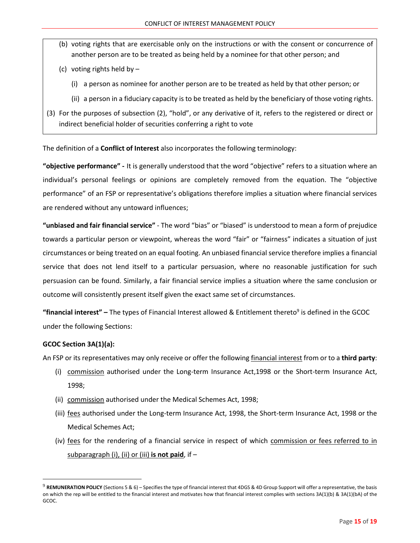- (b) voting rights that are exercisable only on the instructions or with the consent or concurrence of another person are to be treated as being held by a nominee for that other person; and
- (c) voting rights held by
	- (i) a person as nominee for another person are to be treated as held by that other person; or
	- (ii) a person in a fiduciary capacity is to be treated as held by the beneficiary of those voting rights.
- (3) For the purposes of subsection (2), "hold", or any derivative of it, refers to the registered or direct or indirect beneficial holder of securities conferring a right to vote

The definition of a **Conflict of Interest** also incorporates the following terminology:

**"objective performance" -** It is generally understood that the word "objective" refers to a situation where an individual's personal feelings or opinions are completely removed from the equation. The "objective performance" of an FSP or representative's obligations therefore implies a situation where financial services are rendered without any untoward influences;

**"unbiased and fair financial service"** - The word "bias" or "biased" is understood to mean a form of prejudice towards a particular person or viewpoint, whereas the word "fair" or "fairness" indicates a situation of just circumstances or being treated on an equal footing. An unbiased financial service therefore implies a financial service that does not lend itself to a particular persuasion, where no reasonable justification for such persuasion can be found. Similarly, a fair financial service implies a situation where the same conclusion or outcome will consistently present itself given the exact same set of circumstances.

"financial interest" – The types of Financial Interest allowed & Entitlement thereto<sup>9</sup> is defined in the GCOC under the following Sections:

## **GCOC Section 3A(1)(a):**

An FSP or its representatives may only receive or offer the following financial interest from or to a **third party**:

- (i) commission authorised under the Long-term Insurance Act,1998 or the Short-term Insurance Act, 1998;
- (ii) commission authorised under the Medical Schemes Act, 1998;
- (iii) fees authorised under the Long-term Insurance Act, 1998, the Short-term Insurance Act, 1998 or the Medical Schemes Act;
- (iv) fees for the rendering of a financial service in respect of which commission or fees referred to in subparagraph (i), (ii) or (iii) **is not paid**, if –

<sup>9</sup> **REMUNERATION POLICY** (Sections 5 & 6) – Specifies the type of financial interest that 4DGS & 4D Group Support will offer a representative, the basis on which the rep will be entitled to the financial interest and motivates how that financial interest complies with sections 3A(1)(b) & 3A(1)(bA) of the GCOC.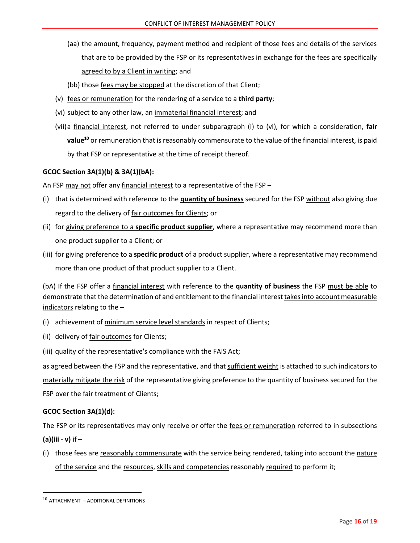- (aa) the amount, frequency, payment method and recipient of those fees and details of the services that are to be provided by the FSP or its representatives in exchange for the fees are specifically agreed to by a Client in writing; and
- (bb) those fees may be stopped at the discretion of that Client;
- (v) fees or remuneration for the rendering of a service to a **third party**;
- (vi) subject to any other law, an immaterial financial interest; and
- (vii)a financial interest, not referred to under subparagraph (i) to (vi), for which a consideration, **fair value<sup>10</sup>** or remuneration that is reasonably commensurate to the value of the financial interest, is paid by that FSP or representative at the time of receipt thereof.

#### **GCOC Section 3A(1)(b) & 3A(1)(bA):**

An FSP may not offer any financial interest to a representative of the FSP –

- (i) that is determined with reference to the **quantity of business** secured for the FSP without also giving due regard to the delivery of fair outcomes for Clients; or
- (ii) for giving preference to a **specific product supplier**, where a representative may recommend more than one product supplier to a Client; or
- (iii) for giving preference to a **specific product** of a product supplier, where a representative may recommend more than one product of that product supplier to a Client.

(bA) If the FSP offer a financial interest with reference to the **quantity of business** the FSP must be able to demonstrate that the determination of and entitlement to the financial interest takes into account measurable indicators relating to the –

- (i) achievement of minimum service level standards in respect of Clients;
- (ii) delivery of fair outcomes for Clients;
- (iii) quality of the representative's compliance with the FAIS Act;

as agreed between the FSP and the representative, and that sufficient weight is attached to such indicators to materially mitigate the risk of the representative giving preference to the quantity of business secured for the FSP over the fair treatment of Clients;

## **GCOC Section 3A(1)(d):**

The FSP or its representatives may only receive or offer the fees or remuneration referred to in subsections **(a)(iii - v)** if –

(i) those fees are reasonably commensurate with the service being rendered, taking into account the nature of the service and the resources, skills and competencies reasonably required to perform it;

 $10$  ATTACHMENT – ADDITIONAL DEFINITIONS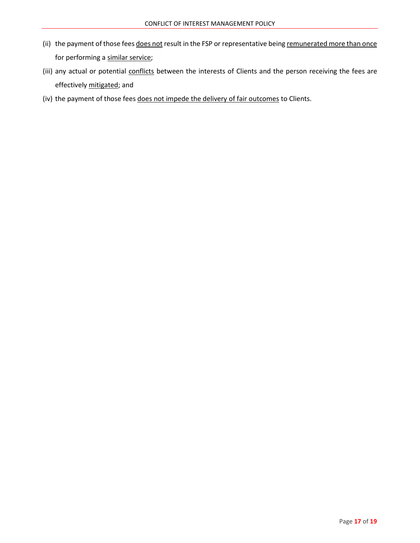- (ii) the payment of those fees does not result in the FSP or representative being remunerated more than once for performing a similar service;
- (iii) any actual or potential conflicts between the interests of Clients and the person receiving the fees are effectively mitigated; and
- (iv) the payment of those fees does not impede the delivery of fair outcomes to Clients.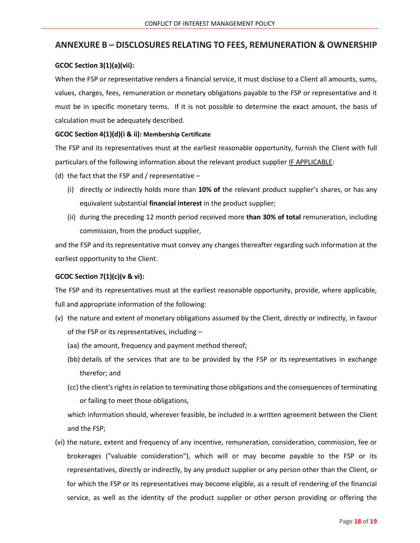# **ANNEXURE B – DISCLOSURES RELATING TO FEES, REMUNERATION & OWNERSHIP**

#### **GCOC Section 3(1)(a)(vii):**

When the FSP or representative renders a financial service, it must disclose to a Client all amounts, sums, values, charges, fees, remuneration or monetary obligations payable to the FSP or representative and it must be in specific monetary terms. If it is not possible to determine the exact amount, the basis of calculation must be adequately described.

#### **GCOC Section 4(1)(d)(i & ii): Membership Certificate**

The FSP and its representatives must at the earliest reasonable opportunity, furnish the Client with full particulars of the following information about the relevant product supplier IF APPLICABLE:

- (d) the fact that the FSP and / representative  $-$ 
	- (i) directly or indirectly holds more than **10% of** the relevant product supplier's shares, or has any equivalent substantial **financial interest** in the product supplier;
	- (ii) during the preceding 12 month period received more **than 30% of total** remuneration, including commission, from the product supplier,

and the FSP and its representative must convey any changes thereafter regarding such information at the earliest opportunity to the Client.

#### **GCOC Section 7(1)(c)(v & vi):**

The FSP and its representatives must at the earliest reasonable opportunity, provide, where applicable, full and appropriate information of the following:

- (v) the nature and extent of monetary obligations assumed by the Client, directly or indirectly, in favour of the FSP or its representatives, including –
	- (aa) the amount, frequency and payment method thereof;
	- (bb) details of the services that are to be provided by the FSP or its representatives in exchange therefor; and
	- (cc) the client's rights in relation to terminating those obligations and the consequences of terminating or failing to meet those obligations,

which information should, wherever feasible, be included in a written agreement between the Client and the FSP;

(vi) the nature, extent and frequency of any incentive, remuneration, consideration, commission, fee or brokerages ("valuable consideration"), which will or may become payable to the FSP or its representatives, directly or indirectly, by any product supplier or any person other than the Client, or for which the FSP or its representatives may become eligible, as a result of rendering of the financial service, as well as the identity of the product supplier or other person providing or offering the